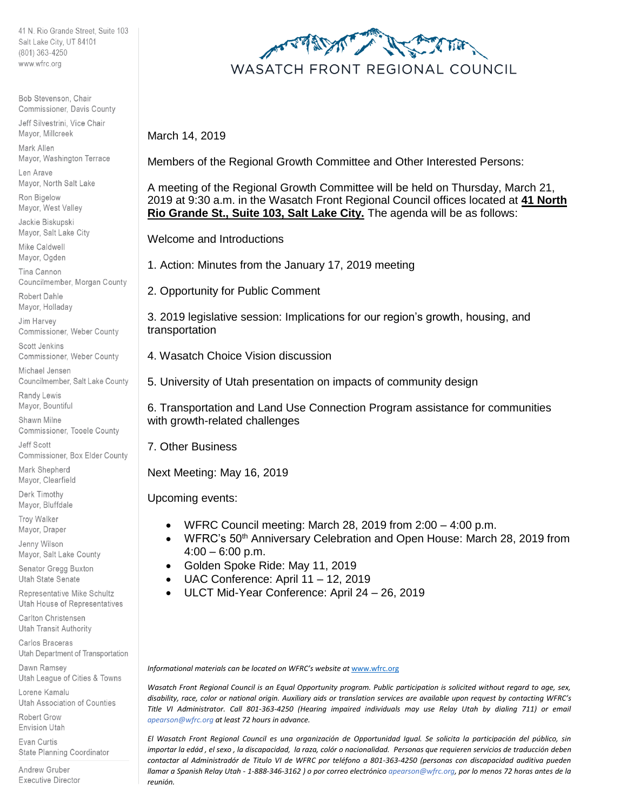41 N. Rio Grande Street, Suite 103 Salt Lake City, UT 84101 (801) 363-4250 www.wfrc.org

Bob Stevenson, Chair Commissioner, Davis County

Jeff Silvestrini, Vice Chair Mayor, Millcreek Mark Allen

Mayor, Washington Terrace Len Arave

Mayor, North Salt Lake

Ron Bigelow Mayor, West Valley

Jackie Biskupski Mayor, Salt Lake City

Mike Caldwell Mayor, Ogden

Tina Cannon Councilmember, Morgan County

Robert Dahle Mayor, Holladay

Jim Harvey Commissioner, Weber County

Scott Jenkins Commissioner, Weber County

Michael Jensen Councilmember, Salt Lake County

Randy Lewis Mayor, Bountiful

Shawn Milne Commissioner, Tooele County

Jeff Scott Commissioner, Box Elder County

Mark Shepherd Mayor, Clearfield

Derk Timothy Mayor, Bluffdale

Troy Walker Mayor, Draper

Jenny Wilson Mayor, Salt Lake County

Senator Gregg Buxton Utah State Senate

Representative Mike Schultz Utah House of Representatives

Carlton Christensen Utah Transit Authority

Carlos Braceras Utah Department of Transportation

Dawn Ramsey Utah League of Cities & Towns

Lorene Kamalu Utah Association of Counties

Robert Grow **Envision Utah** 

**Evan Curtis** State Planning Coordinator

Andrew Gruber Executive Director



March 14, 2019

Members of the Regional Growth Committee and Other Interested Persons:

A meeting of the Regional Growth Committee will be held on Thursday, March 21, 2019 at 9:30 a.m. in the Wasatch Front Regional Council offices located at **41 North Rio Grande St., Suite 103, Salt Lake City.** The agenda will be as follows:

Welcome and Introductions

1. Action: Minutes from the January 17, 2019 meeting

2. Opportunity for Public Comment

3. 2019 legislative session: Implications for our region's growth, housing, and transportation

4. Wasatch Choice Vision discussion

5. University of Utah presentation on impacts of community design

6. Transportation and Land Use Connection Program assistance for communities with growth-related challenges

7. Other Business

Next Meeting: May 16, 2019

Upcoming events:

- WFRC Council meeting: March 28, 2019 from 2:00 4:00 p.m.
- WFRC's 50<sup>th</sup> Anniversary Celebration and Open House: March 28, 2019 from  $4:00 - 6:00$  p.m.
- Golden Spoke Ride: May 11, 2019
- UAC Conference: April 11 12, 2019
- ULCT Mid-Year Conference: April 24 26, 2019

*Informational materials can be located on WFRC's website at* [www.wfrc.org](http://www.wfrc.org/)

*Wasatch Front Regional Council is an Equal Opportunity program. Public participation is solicited without regard to age, sex, disability, race, color or national origin. Auxiliary aids or translation services are available upon request by contacting WFRC's Title VI Administrator. Call 801-363-4250 (Hearing impaired individuals may use Relay Utah by dialing 711) or email apearson@wfrc.org at least 72 hours in advance.*

*El Wasatch Front Regional Council es una organización de Opportunidad Igual. Se solicita la participación del público, sin importar la edád , el sexo , la discapacidad, la raza, colór o nacionalidad. Personas que requieren servicios de traducción deben contactar al Administradór de Titulo VI de WFRC por teléfono a 801-363-4250 (personas con discapacidad auditiva pueden llamar a Spanish Relay Utah - 1-888-346-3162 ) o por correo electrónico apearson@wfrc.org, por lo menos 72 horas antes de la reunión.*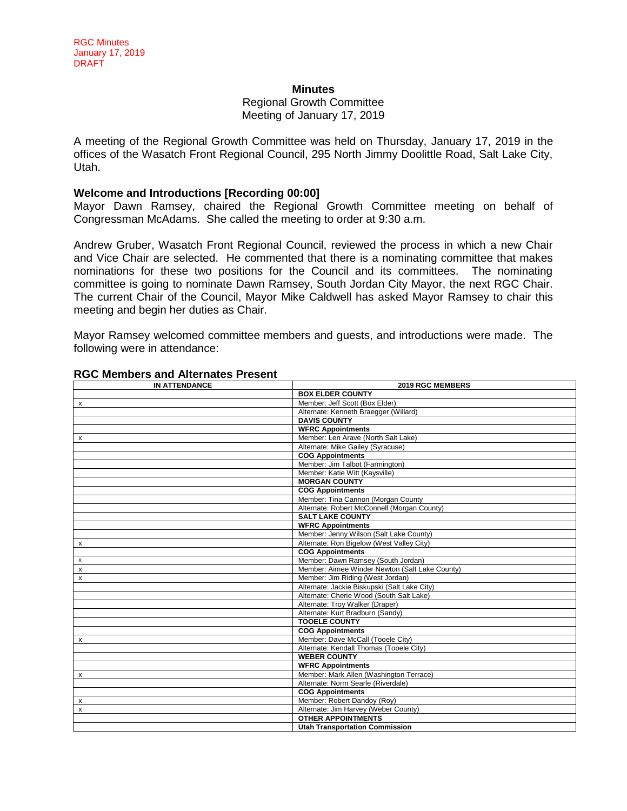#### **Minutes**

## Regional Growth Committee Meeting of January 17, 2019

A meeting of the Regional Growth Committee was held on Thursday, January 17, 2019 in the offices of the Wasatch Front Regional Council, 295 North Jimmy Doolittle Road, Salt Lake City, Utah.

#### **Welcome and Introductions [Recording 00:00]**

Mayor Dawn Ramsey, chaired the Regional Growth Committee meeting on behalf of Congressman McAdams. She called the meeting to order at 9:30 a.m.

Andrew Gruber, Wasatch Front Regional Council, reviewed the process in which a new Chair and Vice Chair are selected. He commented that there is a nominating committee that makes nominations for these two positions for the Council and its committees. The nominating committee is going to nominate Dawn Ramsey, South Jordan City Mayor, the next RGC Chair. The current Chair of the Council, Mayor Mike Caldwell has asked Mayor Ramsey to chair this meeting and begin her duties as Chair.

Mayor Ramsey welcomed committee members and guests, and introductions were made. The following were in attendance:

| <b>IN ATTENDANCE</b> | 2019 RGC MEMBERS                               |  |  |  |
|----------------------|------------------------------------------------|--|--|--|
|                      | <b>BOX ELDER COUNTY</b>                        |  |  |  |
| x                    | Member: Jeff Scott (Box Elder)                 |  |  |  |
|                      | Alternate: Kenneth Braegger (Willard)          |  |  |  |
|                      | <b>DAVIS COUNTY</b>                            |  |  |  |
|                      | <b>WFRC Appointments</b>                       |  |  |  |
| x                    | Member: Len Arave (North Salt Lake)            |  |  |  |
|                      | Alternate: Mike Gailey (Syracuse)              |  |  |  |
|                      | <b>COG Appointments</b>                        |  |  |  |
|                      | Member: Jim Talbot (Farmington)                |  |  |  |
|                      | Member: Katie Witt (Kaysville)                 |  |  |  |
|                      | <b>MORGAN COUNTY</b>                           |  |  |  |
|                      | <b>COG Appointments</b>                        |  |  |  |
|                      | Member: Tina Cannon (Morgan County             |  |  |  |
|                      | Alternate: Robert McConnell (Morgan County)    |  |  |  |
|                      | <b>SALT LAKE COUNTY</b>                        |  |  |  |
|                      | <b>WFRC Appointments</b>                       |  |  |  |
|                      | Member: Jenny Wilson (Salt Lake County)        |  |  |  |
| x                    | Alternate: Ron Bigelow (West Valley City)      |  |  |  |
|                      | <b>COG Appointments</b>                        |  |  |  |
| x                    | Member: Dawn Ramsey (South Jordan)             |  |  |  |
| x                    | Member: Aimee Winder Newton (Salt Lake County) |  |  |  |
| x                    | Member: Jim Riding (West Jordan)               |  |  |  |
|                      | Alternate: Jackie Biskupski (Salt Lake City)   |  |  |  |
|                      | Alternate: Cherie Wood (South Salt Lake)       |  |  |  |
|                      | Alternate: Troy Walker (Draper)                |  |  |  |
|                      | Alternate: Kurt Bradburn (Sandy)               |  |  |  |
|                      | <b>TOOELE COUNTY</b>                           |  |  |  |
|                      | <b>COG Appointments</b>                        |  |  |  |
| x                    | Member: Dave McCall (Tooele City)              |  |  |  |
|                      | Alternate: Kendall Thomas (Tooele City)        |  |  |  |
|                      | <b>WEBER COUNTY</b>                            |  |  |  |
|                      | <b>WFRC Appointments</b>                       |  |  |  |
| x                    | Member: Mark Allen (Washington Terrace)        |  |  |  |
|                      | Alternate: Norm Searle (Riverdale)             |  |  |  |
|                      | <b>COG Appointments</b>                        |  |  |  |
| $\times$             | Member: Robert Dandoy (Roy)                    |  |  |  |
| X                    | Alternate: Jim Harvey (Weber County)           |  |  |  |
|                      | <b>OTHER APPOINTMENTS</b>                      |  |  |  |
|                      | <b>Utah Transportation Commission</b>          |  |  |  |

## **RGC Members and Alternates Present**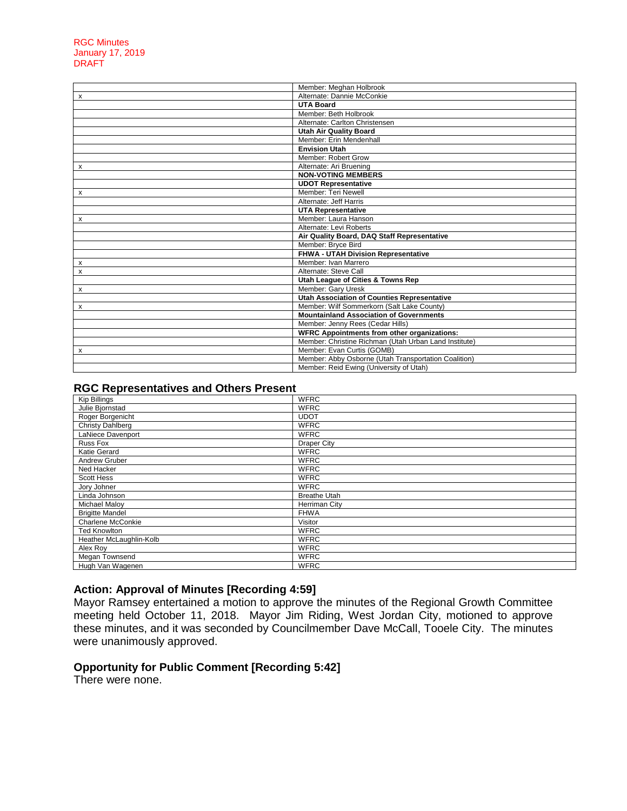|   | Member: Meghan Holbrook                               |  |  |
|---|-------------------------------------------------------|--|--|
| х | Alternate: Dannie McConkie                            |  |  |
|   | <b>UTA Board</b>                                      |  |  |
|   | Member: Beth Holbrook                                 |  |  |
|   | Alternate: Carlton Christensen                        |  |  |
|   | <b>Utah Air Quality Board</b>                         |  |  |
|   | Member: Erin Mendenhall                               |  |  |
|   | <b>Envision Utah</b>                                  |  |  |
|   | Member: Robert Grow                                   |  |  |
| х | Alternate: Ari Bruening                               |  |  |
|   | <b>NON-VOTING MEMBERS</b>                             |  |  |
|   | <b>UDOT Representative</b>                            |  |  |
| X | Member: Teri Newell                                   |  |  |
|   | Alternate: Jeff Harris                                |  |  |
|   | <b>UTA Representative</b>                             |  |  |
| x | Member: Laura Hanson                                  |  |  |
|   | Alternate: Levi Roberts                               |  |  |
|   | Air Quality Board, DAQ Staff Representative           |  |  |
|   | Member: Bryce Bird                                    |  |  |
|   | FHWA - UTAH Division Representative                   |  |  |
| х | Member: Ivan Marrero                                  |  |  |
| X | Alternate: Steve Call                                 |  |  |
|   | Utah League of Cities & Towns Rep                     |  |  |
| x | Member: Gary Uresk                                    |  |  |
|   | <b>Utah Association of Counties Representative</b>    |  |  |
| X | Member: Wilf Sommerkorn (Salt Lake County)            |  |  |
|   | <b>Mountainland Association of Governments</b>        |  |  |
|   | Member: Jenny Rees (Cedar Hills)                      |  |  |
|   | <b>WFRC Appointments from other organizations:</b>    |  |  |
|   | Member: Christine Richman (Utah Urban Land Institute) |  |  |
| X | Member: Evan Curtis (GOMB)                            |  |  |
|   | Member: Abby Osborne (Utah Transportation Coalition)  |  |  |
|   | Member: Reid Ewing (University of Utah)               |  |  |

## **RGC Representatives and Others Present**

| <b>Kip Billings</b>     | <b>WFRC</b>         |
|-------------------------|---------------------|
| Julie Bjornstad         | <b>WFRC</b>         |
| Roger Borgenicht        | <b>UDOT</b>         |
| <b>Christy Dahlberg</b> | <b>WFRC</b>         |
| LaNiece Davenport       | <b>WFRC</b>         |
| Russ Fox                | <b>Draper City</b>  |
| Katie Gerard            | <b>WFRC</b>         |
| Andrew Gruber           | <b>WFRC</b>         |
| Ned Hacker              | <b>WFRC</b>         |
| <b>Scott Hess</b>       | <b>WFRC</b>         |
| Jory Johner             | <b>WFRC</b>         |
| Linda Johnson           | <b>Breathe Utah</b> |
| <b>Michael Maloy</b>    | Herriman City       |
| <b>Brigitte Mandel</b>  | <b>FHWA</b>         |
| Charlene McConkie       | Visitor             |
| <b>Ted Knowlton</b>     | <b>WFRC</b>         |
| Heather McLaughlin-Kolb | <b>WFRC</b>         |
| Alex Roy                | <b>WFRC</b>         |
| Megan Townsend          | <b>WFRC</b>         |
| Hugh Van Wagenen        | <b>WFRC</b>         |

# **Action: Approval of Minutes [Recording 4:59]**

Mayor Ramsey entertained a motion to approve the minutes of the Regional Growth Committee meeting held October 11, 2018. Mayor Jim Riding, West Jordan City, motioned to approve these minutes, and it was seconded by Councilmember Dave McCall, Tooele City. The minutes were unanimously approved.

## **Opportunity for Public Comment [Recording 5:42]**

There were none.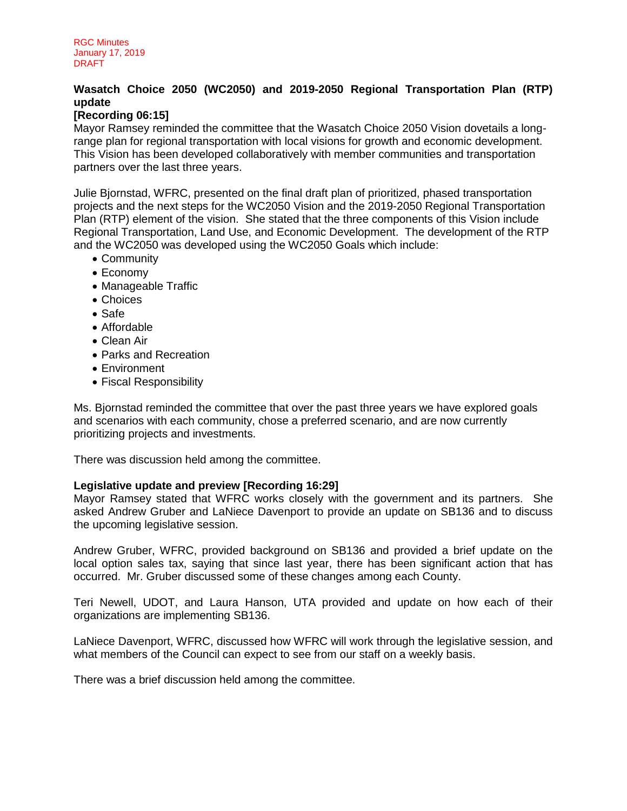# **Wasatch Choice 2050 (WC2050) and 2019-2050 Regional Transportation Plan (RTP) update**

# **[Recording 06:15]**

Mayor Ramsey reminded the committee that the Wasatch Choice 2050 Vision dovetails a longrange plan for regional transportation with local visions for growth and economic development. This Vision has been developed collaboratively with member communities and transportation partners over the last three years.

Julie Bjornstad, WFRC, presented on the final draft plan of prioritized, phased transportation projects and the next steps for the WC2050 Vision and the 2019-2050 Regional Transportation Plan (RTP) element of the vision. She stated that the three components of this Vision include Regional Transportation, Land Use, and Economic Development. The development of the RTP and the WC2050 was developed using the WC2050 Goals which include:

- Community
- Economy
- Manageable Traffic
- Choices
- Safe
- Affordable
- Clean Air
- Parks and Recreation
- Environment
- Fiscal Responsibility

Ms. Bjornstad reminded the committee that over the past three years we have explored goals and scenarios with each community, chose a preferred scenario, and are now currently prioritizing projects and investments.

There was discussion held among the committee.

## **Legislative update and preview [Recording 16:29]**

Mayor Ramsey stated that WFRC works closely with the government and its partners. She asked Andrew Gruber and LaNiece Davenport to provide an update on SB136 and to discuss the upcoming legislative session.

Andrew Gruber, WFRC, provided background on SB136 and provided a brief update on the local option sales tax, saying that since last year, there has been significant action that has occurred. Mr. Gruber discussed some of these changes among each County.

Teri Newell, UDOT, and Laura Hanson, UTA provided and update on how each of their organizations are implementing SB136.

LaNiece Davenport, WFRC, discussed how WFRC will work through the legislative session, and what members of the Council can expect to see from our staff on a weekly basis.

There was a brief discussion held among the committee.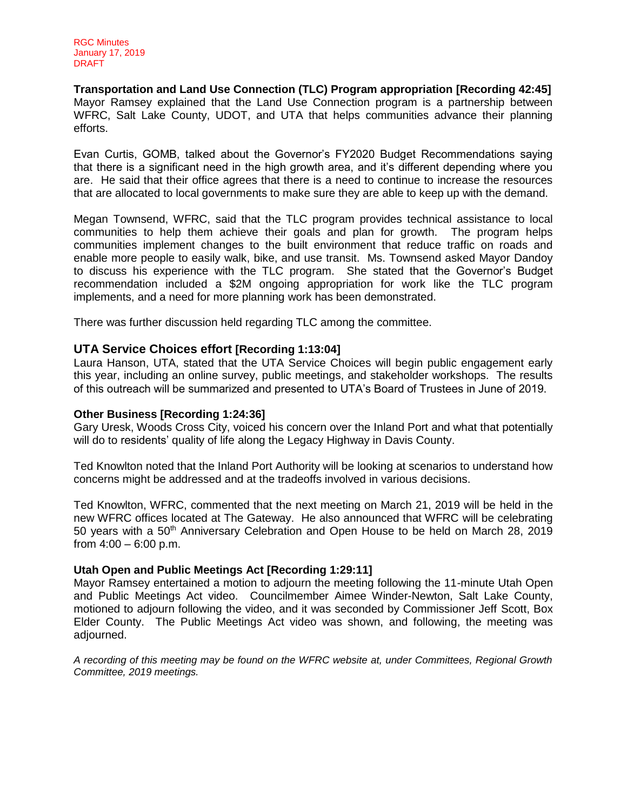**Transportation and Land Use Connection (TLC) Program appropriation [Recording 42:45]** Mayor Ramsey explained that the Land Use Connection program is a partnership between WFRC, Salt Lake County, UDOT, and UTA that helps communities advance their planning efforts.

Evan Curtis, GOMB, talked about the Governor's FY2020 Budget Recommendations saying that there is a significant need in the high growth area, and it's different depending where you are. He said that their office agrees that there is a need to continue to increase the resources that are allocated to local governments to make sure they are able to keep up with the demand.

Megan Townsend, WFRC, said that the TLC program provides technical assistance to local communities to help them achieve their goals and plan for growth. The program helps communities implement changes to the built environment that reduce traffic on roads and enable more people to easily walk, bike, and use transit. Ms. Townsend asked Mayor Dandoy to discuss his experience with the TLC program. She stated that the Governor's Budget recommendation included a \$2M ongoing appropriation for work like the TLC program implements, and a need for more planning work has been demonstrated.

There was further discussion held regarding TLC among the committee.

## **UTA Service Choices effort [Recording 1:13:04]**

Laura Hanson, UTA, stated that the UTA Service Choices will begin public engagement early this year, including an online survey, public meetings, and stakeholder workshops. The results of this outreach will be summarized and presented to UTA's Board of Trustees in June of 2019.

## **Other Business [Recording 1:24:36]**

Gary Uresk, Woods Cross City, voiced his concern over the Inland Port and what that potentially will do to residents' quality of life along the Legacy Highway in Davis County.

Ted Knowlton noted that the Inland Port Authority will be looking at scenarios to understand how concerns might be addressed and at the tradeoffs involved in various decisions.

Ted Knowlton, WFRC, commented that the next meeting on March 21, 2019 will be held in the new WFRC offices located at The Gateway. He also announced that WFRC will be celebrating 50 years with a 50th Anniversary Celebration and Open House to be held on March 28, 2019 from  $4:00 - 6:00$  p.m.

## **Utah Open and Public Meetings Act [Recording 1:29:11]**

Mayor Ramsey entertained a motion to adjourn the meeting following the 11-minute Utah Open and Public Meetings Act video. Councilmember Aimee Winder-Newton, Salt Lake County, motioned to adjourn following the video, and it was seconded by Commissioner Jeff Scott, Box Elder County. The Public Meetings Act video was shown, and following, the meeting was adjourned.

*A recording of this meeting may be found on the WFRC website at, under Committees, Regional Growth Committee, 2019 meetings.*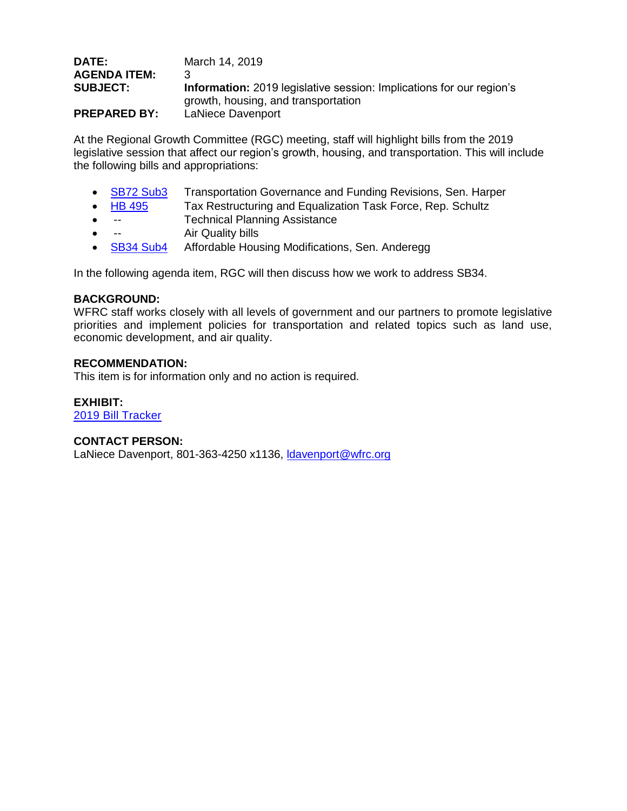| DATE:               | March 14, 2019                                                              |
|---------------------|-----------------------------------------------------------------------------|
| <b>AGENDA ITEM:</b> |                                                                             |
| <b>SUBJECT:</b>     | <b>Information:</b> 2019 legislative session: Implications for our region's |
|                     | growth, housing, and transportation                                         |
| <b>PREPARED BY:</b> | LaNiece Davenport                                                           |

At the Regional Growth Committee (RGC) meeting, staff will highlight bills from the 2019 legislative session that affect our region's growth, housing, and transportation. This will include the following bills and appropriations:

- [SB72 Sub3](https://le.utah.gov/~2019/bills/static/SB0072.html) Transportation Governance and Funding Revisions, Sen. Harper<br>HB 495 Tax Restructuring and Equalization Task Force, Rep. Schultz
- [HB 495](https://le.utah.gov/~2019/bills/static/HB0495.html) Tax Restructuring and Equalization Task Force, Rep. Schultz
- -- Technical Planning Assistance
- -- Air Quality bills
- **[SB34](https://le.utah.gov/~2019/bills/static/SB0034.html) Sub4** Affordable Housing Modifications, Sen. Anderegg

In the following agenda item, RGC will then discuss how we work to address SB34.

## **BACKGROUND:**

WFRC staff works closely with all levels of government and our partners to promote legislative priorities and implement policies for transportation and related topics such as land use, economic development, and air quality.

## **RECOMMENDATION:**

This item is for information only and no action is required.

## **EXHIBIT:**

[2019 Bill Tracker](https://docs.google.com/spreadsheets/d/1rx6uVnqGOafdpBF_rIgIFszX_cuILbH5yINXR-ssERY/edit?usp=sharing)

## **CONTACT PERSON:**

LaNiece Davenport, 801-363-4250 x1136, Idavenport@wfrc.org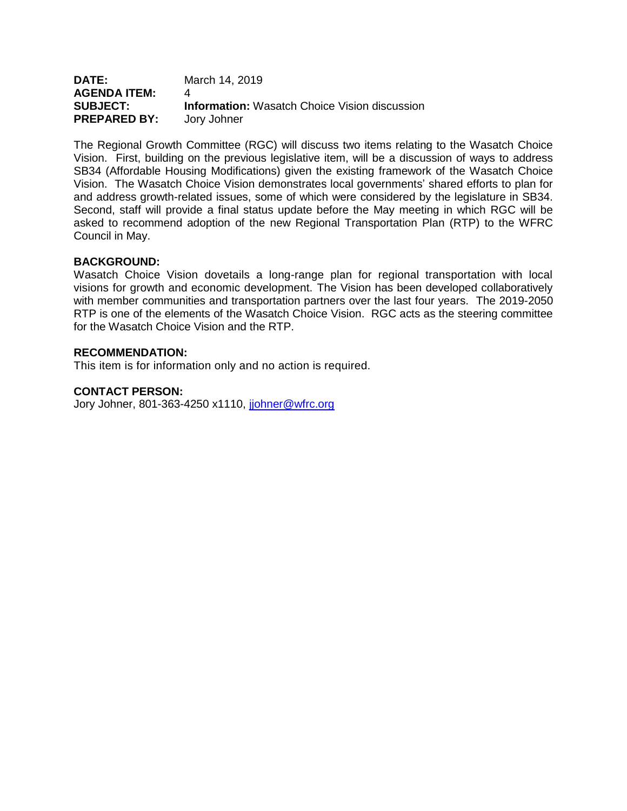| <b>DATE:</b>        | March 14, 2019                                       |
|---------------------|------------------------------------------------------|
| <b>AGENDA ITEM:</b> |                                                      |
| <b>SUBJECT:</b>     | <b>Information:</b> Wasatch Choice Vision discussion |
| <b>PREPARED BY:</b> | Jory Johner                                          |

The Regional Growth Committee (RGC) will discuss two items relating to the Wasatch Choice Vision. First, building on the previous legislative item, will be a discussion of ways to address SB34 (Affordable Housing Modifications) given the existing framework of the Wasatch Choice Vision. The Wasatch Choice Vision demonstrates local governments' shared efforts to plan for and address growth-related issues, some of which were considered by the legislature in SB34. Second, staff will provide a final status update before the May meeting in which RGC will be asked to recommend adoption of the new Regional Transportation Plan (RTP) to the WFRC Council in May.

## **BACKGROUND:**

Wasatch Choice Vision dovetails a long-range plan for regional transportation with local visions for growth and economic development. The Vision has been developed collaboratively with member communities and transportation partners over the last four years. The 2019-2050 RTP is one of the elements of the Wasatch Choice Vision. RGC acts as the steering committee for the Wasatch Choice Vision and the RTP.

## **RECOMMENDATION:**

This item is for information only and no action is required.

#### **CONTACT PERSON:**

Jory Johner, 801-363-4250 x1110, [jjohner@wfrc.org](mailto:jjohner@wfrc.org)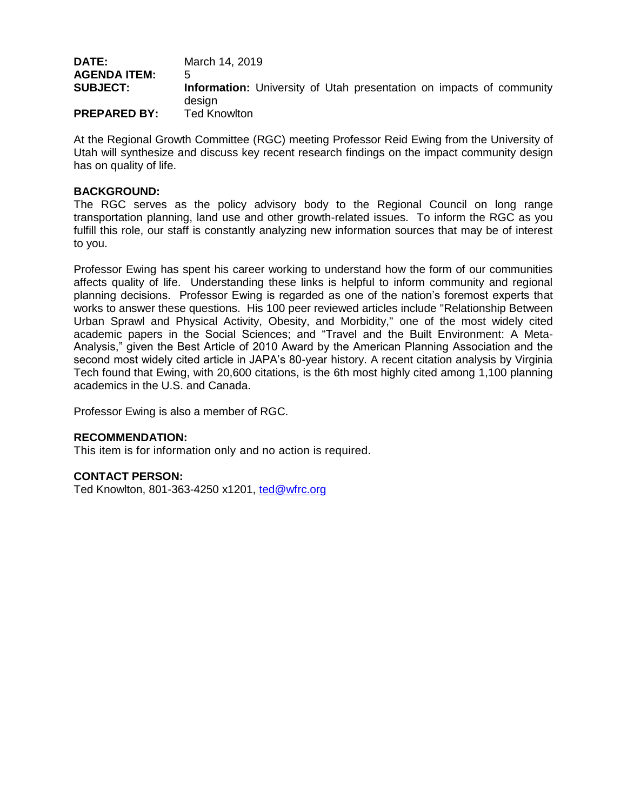| <b>DATE:</b>        | March 14, 2019                                                              |
|---------------------|-----------------------------------------------------------------------------|
| <b>AGENDA ITEM:</b> | $\mathbf{h}$                                                                |
| <b>SUBJECT:</b>     | <b>Information:</b> University of Utah presentation on impacts of community |
|                     | desian                                                                      |
| <b>PREPARED BY:</b> | Ted Knowlton                                                                |

At the Regional Growth Committee (RGC) meeting Professor Reid Ewing from the University of Utah will synthesize and discuss key recent research findings on the impact community design has on quality of life.

## **BACKGROUND:**

The RGC serves as the policy advisory body to the Regional Council on long range transportation planning, land use and other growth-related issues. To inform the RGC as you fulfill this role, our staff is constantly analyzing new information sources that may be of interest to you.

Professor Ewing has spent his career working to understand how the form of our communities affects quality of life. Understanding these links is helpful to inform community and regional planning decisions. Professor Ewing is regarded as one of the nation's foremost experts that works to answer these questions. His 100 peer reviewed articles include "Relationship Between Urban Sprawl and Physical Activity, Obesity, and Morbidity," one of the most widely cited academic papers in the Social Sciences; and "Travel and the Built Environment: A Meta-Analysis," given the Best Article of 2010 Award by the American Planning Association and the second most widely cited article in JAPA's 80-year history. A recent citation analysis by Virginia Tech found that Ewing, with 20,600 citations, is the 6th most highly cited among 1,100 planning academics in the U.S. and Canada.

Professor Ewing is also a member of RGC.

## **RECOMMENDATION:**

This item is for information only and no action is required.

## **CONTACT PERSON:**

Ted Knowlton, 801-363-4250 x1201, [ted@wfrc.org](mailto:ted@wfrc.org)